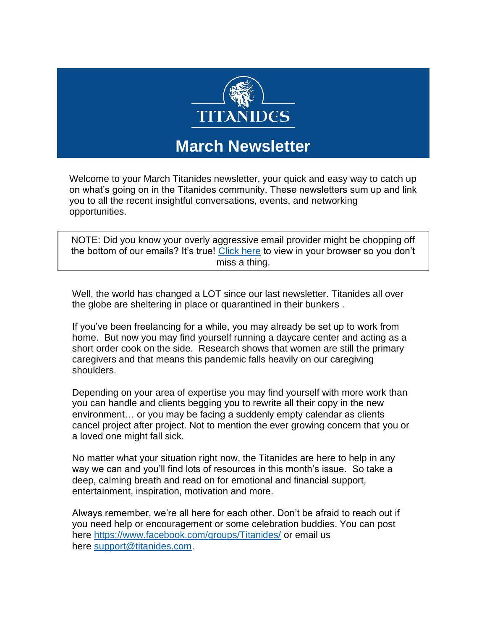

# **March Newsletter**

Welcome to your March Titanides newsletter, your quick and easy way to catch up on what's going on in the Titanides community. These newsletters sum up and link you to all the recent insightful conversations, events, and networking opportunities.

NOTE: Did you know your overly aggressive email provider might be chopping off the bottom of our emails? It's true! [Click here](https://titanidesllc.acemlna.com/lt.php?notrack=1¬rack=1&s=bad97c655476f96a390a72c05a742011&i=198A247A6A1264) to view in your browser so you don't miss a thing.

Well, the world has changed a LOT since our last newsletter. Titanides all over the globe are sheltering in place or quarantined in their bunkers .

If you've been freelancing for a while, you may already be set up to work from home. But now you may find yourself running a daycare center and acting as a short order cook on the side. Research shows that women are still the primary caregivers and that means this pandemic falls heavily on our caregiving shoulders.

Depending on your area of expertise you may find yourself with more work than you can handle and clients begging you to rewrite all their copy in the new environment… or you may be facing a suddenly empty calendar as clients cancel project after project. Not to mention the ever growing concern that you or a loved one might fall sick.

No matter what your situation right now, the Titanides are here to help in any way we can and you'll find lots of resources in this month's issue. So take a deep, calming breath and read on for emotional and financial support, entertainment, inspiration, motivation and more.

Always remember, we're all here for each other. Don't be afraid to reach out if you need help or encouragement or some celebration buddies. You can post here [https://www.facebook.com/groups/Titanides/](https://titanidesllc.acemlna.com/lt.php?notrack=1¬rack=1&s=bad97c655476f96a390a72c05a742011&i=198A247A6A1265) or email us here [support@titanides.com.](mailto:support@titanides.com)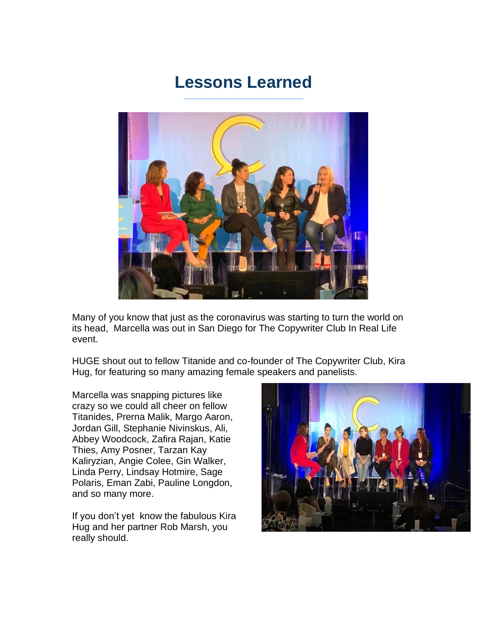## **Lessons Learned**



Many of you know that just as the coronavirus was starting to turn the world on its head, Marcella was out in San Diego for The Copywriter Club In Real Life event.

HUGE shout out to fellow Titanide and co-founder of The Copywriter Club, Kira Hug, for featuring so many amazing female speakers and panelists.

Marcella was snapping pictures like crazy so we could all cheer on fellow Titanides, Prerna Malik, Margo Aaron, Jordan Gill, Stephanie Nivinskus, Ali, Abbey Woodcock, Zafira Rajan, Katie Thies, Amy Posner, Tarzan Kay Kaliryzian, Angie Colee, Gin Walker, Linda Perry, Lindsay Hotmire, Sage Polaris, Eman Zabi, Pauline Longdon, and so many more.

If you don't yet know the fabulous Kira Hug and her partner Rob Marsh, you really should.

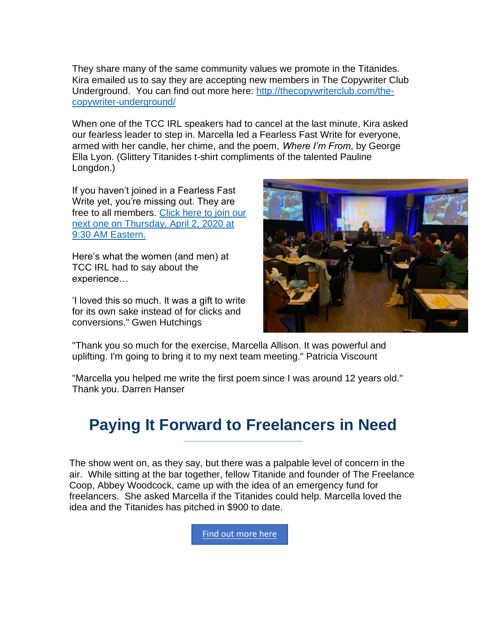They share many of the same community values we promote in the Titanides. Kira emailed us to say they are accepting new members in The Copywriter Club Underground. You can find out more here: [http://thecopywriterclub.com/the](https://titanidesllc.acemlna.com/lt.php?notrack=1¬rack=1&s=bad97c655476f96a390a72c05a742011&i=198A247A6A1266)[copywriter-underground/](https://titanidesllc.acemlna.com/lt.php?notrack=1¬rack=1&s=bad97c655476f96a390a72c05a742011&i=198A247A6A1266)

When one of the TCC IRL speakers had to cancel at the last minute, Kira asked our fearless leader to step in. Marcella led a Fearless Fast Write for everyone, armed with her candle, her chime, and the poem, *Where I'm From*, by George Ella Lyon. (Glittery Titanides t-shirt compliments of the talented Pauline Longdon.)

If you haven't joined in a Fearless Fast Write yet, you're missing out. They are free to all members. [Click here to join our](https://titanidesllc.acemlna.com/lt.php?notrack=1¬rack=1&s=bad97c655476f96a390a72c05a742011&i=198A247A6A1267)  [next one on Thursday, April 2, 2020 at](https://titanidesllc.acemlna.com/lt.php?notrack=1¬rack=1&s=bad97c655476f96a390a72c05a742011&i=198A247A6A1267)  [9:30 AM Eastern.](https://titanidesllc.acemlna.com/lt.php?notrack=1¬rack=1&s=bad97c655476f96a390a72c05a742011&i=198A247A6A1267)

Here's what the women (and men) at TCC IRL had to say about the experience…

'I loved this so much. It was a gift to write for its own sake instead of for clicks and conversions." Gwen Hutchings



"Thank you so much for the exercise, Marcella Allison. It was powerful and uplifting. I'm going to bring it to my next team meeting." Patricia Viscount

"Marcella you helped me write the first poem since I was around 12 years old." Thank you. Darren Hanser

# **Paying It Forward to Freelancers in Need**

The show went on, as they say, but there was a palpable level of concern in the air. While sitting at the bar together, fellow Titanide and founder of The Freelance Coop, Abbey Woodcock, came up with the idea of an emergency fund for freelancers. She asked Marcella if the Titanides could help. Marcella loved the idea and the Titanides has pitched in \$900 to date.

[Find out more here](https://titanidesllc.acemlna.com/lt.php?notrack=1¬rack=1&s=bad97c655476f96a390a72c05a742011&i=198A247A6A1268)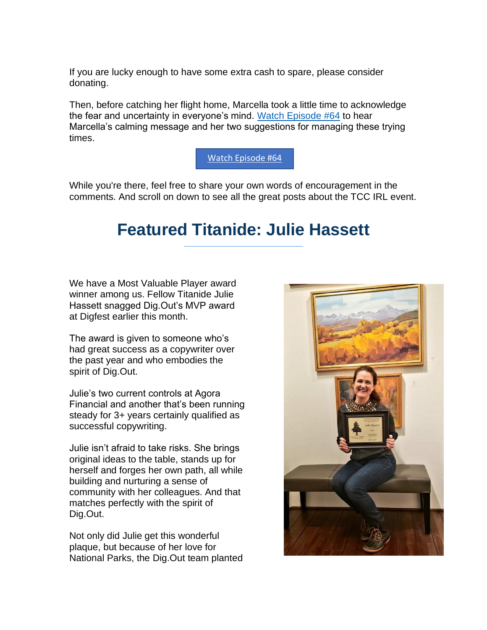If you are lucky enough to have some extra cash to spare, please consider donating.

Then, before catching her flight home, Marcella took a little time to acknowledge the fear and uncertainty in everyone's mind. [Watch Episode #64](https://titanidesllc.acemlna.com/lt.php?notrack=1¬rack=1&s=bad97c655476f96a390a72c05a742011&i=198A247A6A1270) to hear Marcella's calming message and her two suggestions for managing these trying times.

#### [Watch Episode #64](https://titanidesllc.acemlna.com/lt.php?notrack=1¬rack=1&s=bad97c655476f96a390a72c05a742011&i=198A247A6A1270)

While you're there, feel free to share your own words of encouragement in the comments. And scroll on down to see all the great posts about the TCC IRL event.

### **Featured Titanide: Julie Hassett**

We have a Most Valuable Player award winner among us. Fellow Titanide Julie Hassett snagged Dig.Out's MVP award at Digfest earlier this month.

The award is given to someone who's had great success as a copywriter over the past year and who embodies the spirit of Dig.Out.

Julie's two current controls at Agora Financial and another that's been running steady for 3+ years certainly qualified as successful copywriting.

Julie isn't afraid to take risks. She brings original ideas to the table, stands up for herself and forges her own path, all while building and nurturing a sense of community with her colleagues. And that matches perfectly with the spirit of Dig.Out.

Not only did Julie get this wonderful plaque, but because of her love for National Parks, the Dig.Out team planted

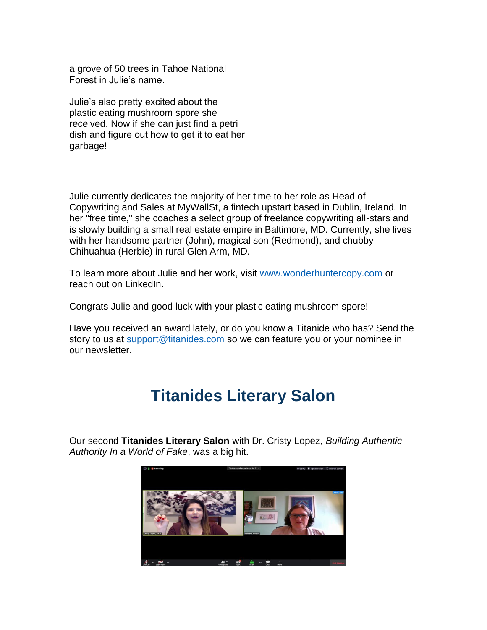a grove of 50 trees in Tahoe National Forest in Julie's name.

Julie's also pretty excited about the plastic eating mushroom spore she received. Now if she can just find a petri dish and figure out how to get it to eat her garbage!

Julie currently dedicates the majority of her time to her role as Head of Copywriting and Sales at MyWallSt, a fintech upstart based in Dublin, Ireland. In her "free time," she coaches a select group of freelance copywriting all-stars and is slowly building a small real estate empire in Baltimore, MD. Currently, she lives with her handsome partner (John), magical son (Redmond), and chubby Chihuahua (Herbie) in rural Glen Arm, MD.

To learn more about Julie and her work, visit [www.wonderhuntercopy.com](https://titanidesllc.acemlna.com/lt.php?notrack=1¬rack=1&s=bad97c655476f96a390a72c05a742011&i=198A247A6A1271) or reach out on LinkedIn.

Congrats Julie and good luck with your plastic eating mushroom spore!

Have you received an award lately, or do you know a Titanide who has? Send the story to us at [support@titanides.com](mailto:support@titanides.com) so we can feature you or your nominee in our newsletter.

# **Titanides Literary Salon**

Our second **Titanides Literary Salon** with Dr. Cristy Lopez, *Building Authentic Authority In a World of Fake*, was a big hit.

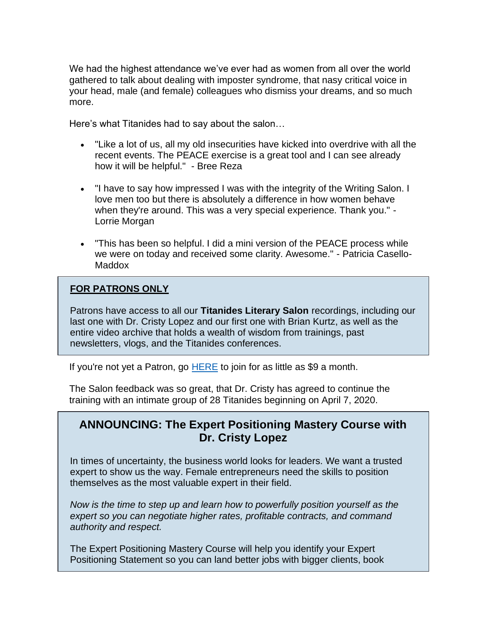We had the highest attendance we've ever had as women from all over the world gathered to talk about dealing with imposter syndrome, that nasy critical voice in your head, male (and female) colleagues who dismiss your dreams, and so much more.

Here's what Titanides had to say about the salon…

- "Like a lot of us, all my old insecurities have kicked into overdrive with all the recent events. The PEACE exercise is a great tool and I can see already how it will be helpful." - Bree Reza
- "I have to say how impressed I was with the integrity of the Writing Salon. I love men too but there is absolutely a difference in how women behave when they're around. This was a very special experience. Thank you." - Lorrie Morgan
- "This has been so helpful. I did a mini version of the PEACE process while we were on today and received some clarity. Awesome." - Patricia Casello-Maddox

#### **FOR PATRONS ONLY**

Patrons have access to all our **Titanides Literary Salon** recordings, including our last one with Dr. Cristy Lopez and our first one with Brian Kurtz, as well as the entire video archive that holds a wealth of wisdom from trainings, past newsletters, vlogs, and the Titanides conferences.

If you're not yet a Patron, go  $HERE$  to join for as little as \$9 a month.

The Salon feedback was so great, that Dr. Cristy has agreed to continue the training with an intimate group of 28 Titanides beginning on April 7, 2020.

#### **ANNOUNCING: The Expert Positioning Mastery Course with Dr. Cristy Lopez**

In times of uncertainty, the business world looks for leaders. We want a trusted expert to show us the way. Female entrepreneurs need the skills to position themselves as the most valuable expert in their field.

*Now is the time to step up and learn how to powerfully position yourself as the expert so you can negotiate higher rates, profitable contracts, and command authority and respect.*

The Expert Positioning Mastery Course will help you identify your Expert Positioning Statement so you can land better jobs with bigger clients, book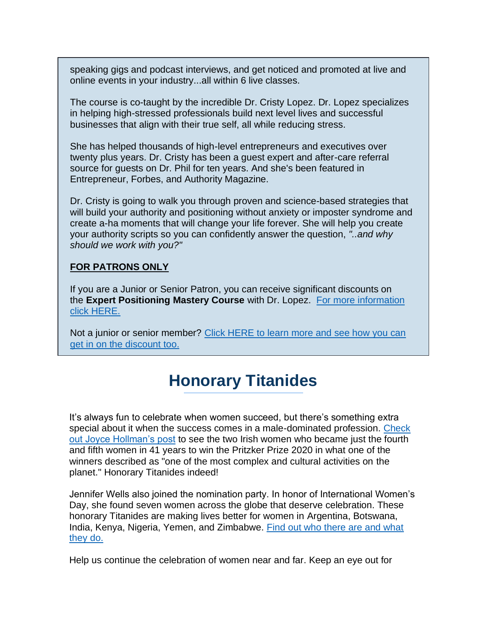speaking gigs and podcast interviews, and get noticed and promoted at live and online events in your industry...all within 6 live classes.

The course is co-taught by the incredible Dr. Cristy Lopez. Dr. Lopez specializes in helping high-stressed professionals build next level lives and successful businesses that align with their true self, all while reducing stress.

She has helped thousands of high-level entrepreneurs and executives over twenty plus years. Dr. Cristy has been a guest expert and after-care referral source for guests on Dr. Phil for ten years. And she's been featured in Entrepreneur, Forbes, and Authority Magazine.

Dr. Cristy is going to walk you through proven and science-based strategies that will build your authority and positioning without anxiety or imposter syndrome and create a-ha moments that will change your life forever. She will help you create your authority scripts so you can confidently answer the question, *"..and why should we work with you?"*

#### **FOR PATRONS ONLY**

If you are a Junior or Senior Patron, you can receive significant discounts on the **Expert Positioning Mastery Course** with Dr. Lopez. [For more information](https://titanidesllc.acemlna.com/lt.php?notrack=1¬rack=1&s=bad97c655476f96a390a72c05a742011&i=198A247A6A1273)  [click HERE.](https://titanidesllc.acemlna.com/lt.php?notrack=1¬rack=1&s=bad97c655476f96a390a72c05a742011&i=198A247A6A1273)

Not a junior or senior member? [Click HERE to learn more and see how you can](https://titanidesllc.acemlna.com/lt.php?notrack=1¬rack=1&s=bad97c655476f96a390a72c05a742011&i=198A247A6A1274)  [get in on the discount too.](https://titanidesllc.acemlna.com/lt.php?notrack=1¬rack=1&s=bad97c655476f96a390a72c05a742011&i=198A247A6A1274)

# **Honorary Titanides**

It's always fun to celebrate when women succeed, but there's something extra special about it when the success comes in a male-dominated profession. Check [out Joyce Hollman's post](https://titanidesllc.acemlna.com/lt.php?notrack=1¬rack=1&s=bad97c655476f96a390a72c05a742011&i=198A247A6A1275) to see the two Irish women who became just the fourth and fifth women in 41 years to win the Pritzker Prize 2020 in what one of the winners described as "one of the most complex and cultural activities on the planet." Honorary Titanides indeed!

Jennifer Wells also joined the nomination party. In honor of International Women's Day, she found seven women across the globe that deserve celebration. These honorary Titanides are making lives better for women in Argentina, Botswana, India, Kenya, Nigeria, Yemen, and Zimbabwe. [Find out who there are and what](https://titanidesllc.acemlna.com/lt.php?notrack=1¬rack=1&s=bad97c655476f96a390a72c05a742011&i=198A247A6A1276)  [they do.](https://titanidesllc.acemlna.com/lt.php?notrack=1¬rack=1&s=bad97c655476f96a390a72c05a742011&i=198A247A6A1276)

Help us continue the celebration of women near and far. Keep an eye out for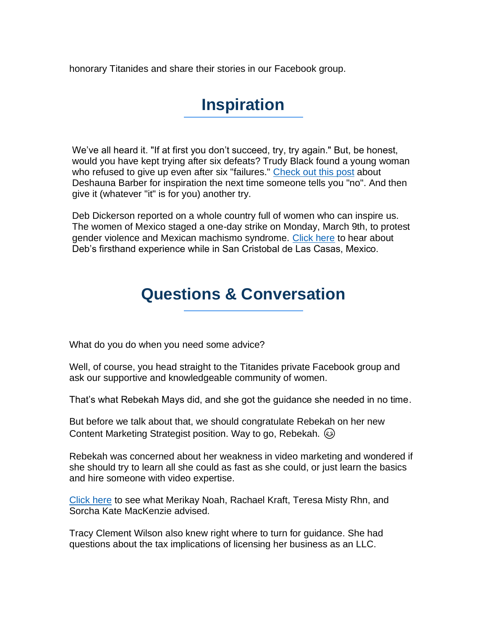honorary Titanides and share their stories in our Facebook group.

## **Inspiration**

We've all heard it. "If at first you don't succeed, try, try again." But, be honest, would you have kept trying after six defeats? Trudy Black found a young woman who refused to give up even after six "failures." [Check out this post](https://titanidesllc.acemlna.com/lt.php?notrack=1¬rack=1&s=bad97c655476f96a390a72c05a742011&i=198A247A6A1277) about Deshauna Barber for inspiration the next time someone tells you "no". And then give it (whatever "it" is for you) another try.

Deb Dickerson reported on a whole country full of women who can inspire us. The women of Mexico staged a one-day strike on Monday, March 9th, to protest gender violence and Mexican machismo syndrome. [Click here](https://titanidesllc.acemlna.com/lt.php?notrack=1¬rack=1&s=bad97c655476f96a390a72c05a742011&i=198A247A6A1278) to hear about Deb's firsthand experience while in San Cristobal de Las Casas, Mexico.

### **Questions & Conversation**

What do you do when you need some advice?

Well, of course, you head straight to the Titanides private Facebook group and ask our supportive and knowledgeable community of women.

That's what Rebekah Mays did, and she got the guidance she needed in no time.

But before we talk about that, we should congratulate Rebekah on her new Content Marketing Strategist position. Way to go, Rebekah.

Rebekah was concerned about her weakness in video marketing and wondered if she should try to learn all she could as fast as she could, or just learn the basics and hire someone with video expertise.

[Click here](https://titanidesllc.acemlna.com/lt.php?notrack=1¬rack=1&s=bad97c655476f96a390a72c05a742011&i=198A247A6A1279) to see what Merikay Noah, Rachael Kraft, Teresa Misty Rhn, and Sorcha Kate MacKenzie advised.

Tracy Clement Wilson also knew right where to turn for guidance. She had questions about the tax implications of licensing her business as an LLC.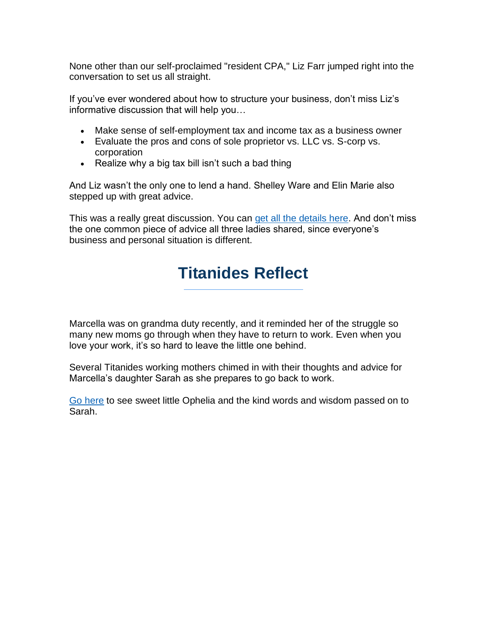None other than our self-proclaimed "resident CPA," Liz Farr jumped right into the conversation to set us all straight.

If you've ever wondered about how to structure your business, don't miss Liz's informative discussion that will help you…

- Make sense of self-employment tax and income tax as a business owner
- Evaluate the pros and cons of sole proprietor vs. LLC vs. S-corp vs. corporation
- Realize why a big tax bill isn't such a bad thing

And Liz wasn't the only one to lend a hand. Shelley Ware and Elin Marie also stepped up with great advice.

This was a really great discussion. You can [get all the details here.](https://titanidesllc.acemlna.com/lt.php?notrack=1¬rack=1&s=bad97c655476f96a390a72c05a742011&i=198A247A6A1280) And don't miss the one common piece of advice all three ladies shared, since everyone's business and personal situation is different.

# **Titanides Reflect**

Marcella was on grandma duty recently, and it reminded her of the struggle so many new moms go through when they have to return to work. Even when you love your work, it's so hard to leave the little one behind.

Several Titanides working mothers chimed in with their thoughts and advice for Marcella's daughter Sarah as she prepares to go back to work.

[Go here](https://titanidesllc.acemlna.com/lt.php?notrack=1¬rack=1&s=bad97c655476f96a390a72c05a742011&i=198A247A6A1281) to see sweet little Ophelia and the kind words and wisdom passed on to Sarah.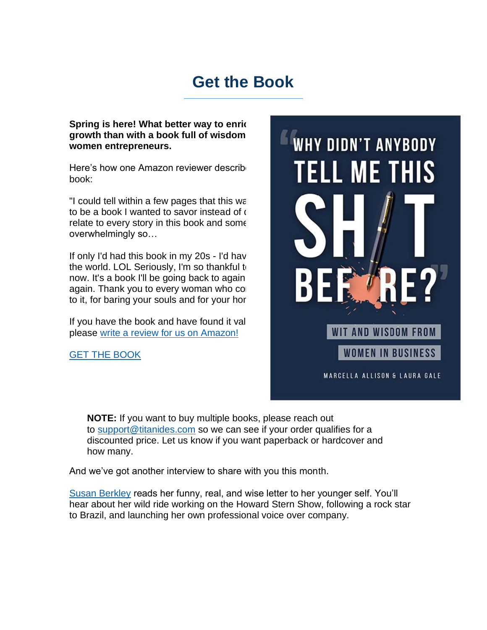## **Get the Book**

**WHY DIDN'T ANYBODY** 

**ELL ME THIS** 

**WIT AND WISDOM FROM** 

MARCELLA ALLISON & LAURA GALE

**WOMEN IN BUSINESS** 

**Spring is here! What better way to enric** growth than with a book full of wisdom **women entrepreneurs.**

Here's how one Amazon reviewer described book:

"I could tell within a few pages that this was to be a book I wanted to savor instead of o relate to every story in this book and some overwhelmingly so…

If only I'd had this book in my 20s - I'd have the world. LOL Seriously, I'm so thankful to now. It's a book I'll be going back to again again. Thank you to every woman who co to it, for baring your souls and for your hor

If you have the book and have found it valuable. please [write a review for us on Amazon!](https://titanidesllc.acemlna.com/lt.php?notrack=1¬rack=1&s=bad97c655476f96a390a72c05a742011&i=198A247A6A1282) 

[GET THE BOOK](https://titanidesllc.acemlna.com/lt.php?notrack=1¬rack=1&s=bad97c655476f96a390a72c05a742011&i=198A247A6A1283)

### **NOTE:** If you want to buy multiple books, please reach out to [support@titanides.com](mailto:support@titanides.com) so we can see if your order qualifies for a discounted price. Let us know if you want paperback or hardcover and how many.

And we've got another interview to share with you this month.

[Susan Berkley](https://titanidesllc.acemlna.com/lt.php?notrack=1¬rack=1&s=bad97c655476f96a390a72c05a742011&i=198A247A6A1284) reads her funny, real, and wise letter to her younger self. You'll hear about her wild ride working on the Howard Stern Show, following a rock star to Brazil, and launching her own professional voice over company.